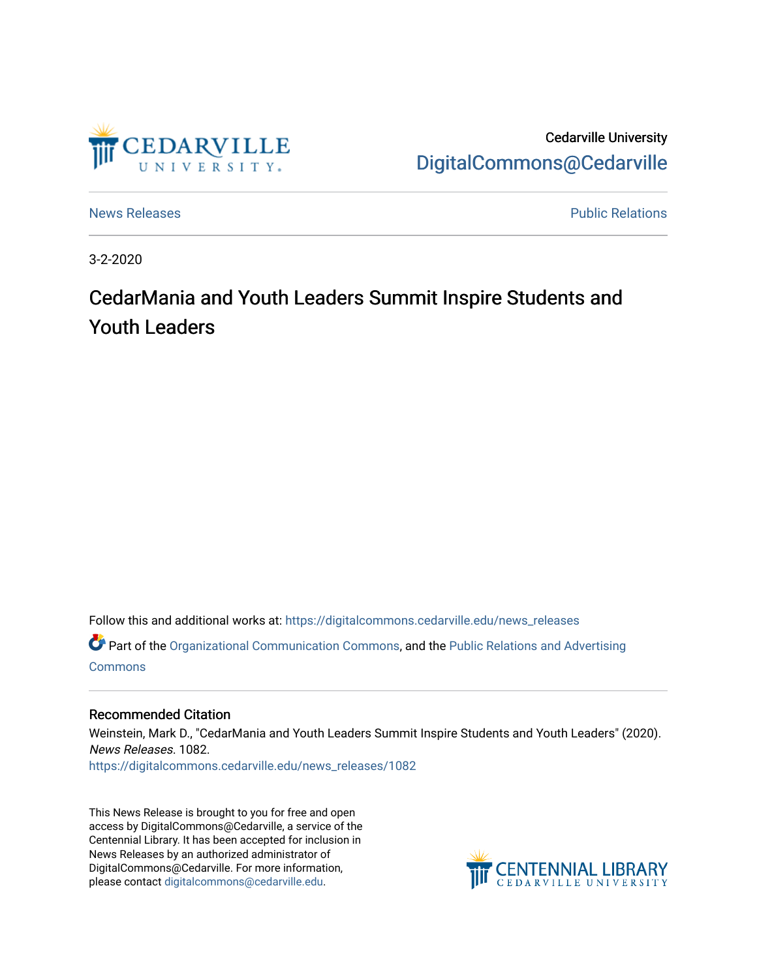

Cedarville University [DigitalCommons@Cedarville](https://digitalcommons.cedarville.edu/) 

[News Releases](https://digitalcommons.cedarville.edu/news_releases) **Public Relations Public Relations** 

3-2-2020

## CedarMania and Youth Leaders Summit Inspire Students and Youth Leaders

Follow this and additional works at: [https://digitalcommons.cedarville.edu/news\\_releases](https://digitalcommons.cedarville.edu/news_releases?utm_source=digitalcommons.cedarville.edu%2Fnews_releases%2F1082&utm_medium=PDF&utm_campaign=PDFCoverPages) 

Part of the [Organizational Communication Commons](http://network.bepress.com/hgg/discipline/335?utm_source=digitalcommons.cedarville.edu%2Fnews_releases%2F1082&utm_medium=PDF&utm_campaign=PDFCoverPages), and the [Public Relations and Advertising](http://network.bepress.com/hgg/discipline/336?utm_source=digitalcommons.cedarville.edu%2Fnews_releases%2F1082&utm_medium=PDF&utm_campaign=PDFCoverPages)  **[Commons](http://network.bepress.com/hgg/discipline/336?utm_source=digitalcommons.cedarville.edu%2Fnews_releases%2F1082&utm_medium=PDF&utm_campaign=PDFCoverPages)** 

## Recommended Citation

Weinstein, Mark D., "CedarMania and Youth Leaders Summit Inspire Students and Youth Leaders" (2020). News Releases. 1082.

[https://digitalcommons.cedarville.edu/news\\_releases/1082](https://digitalcommons.cedarville.edu/news_releases/1082?utm_source=digitalcommons.cedarville.edu%2Fnews_releases%2F1082&utm_medium=PDF&utm_campaign=PDFCoverPages) 

This News Release is brought to you for free and open access by DigitalCommons@Cedarville, a service of the Centennial Library. It has been accepted for inclusion in News Releases by an authorized administrator of DigitalCommons@Cedarville. For more information, please contact [digitalcommons@cedarville.edu](mailto:digitalcommons@cedarville.edu).